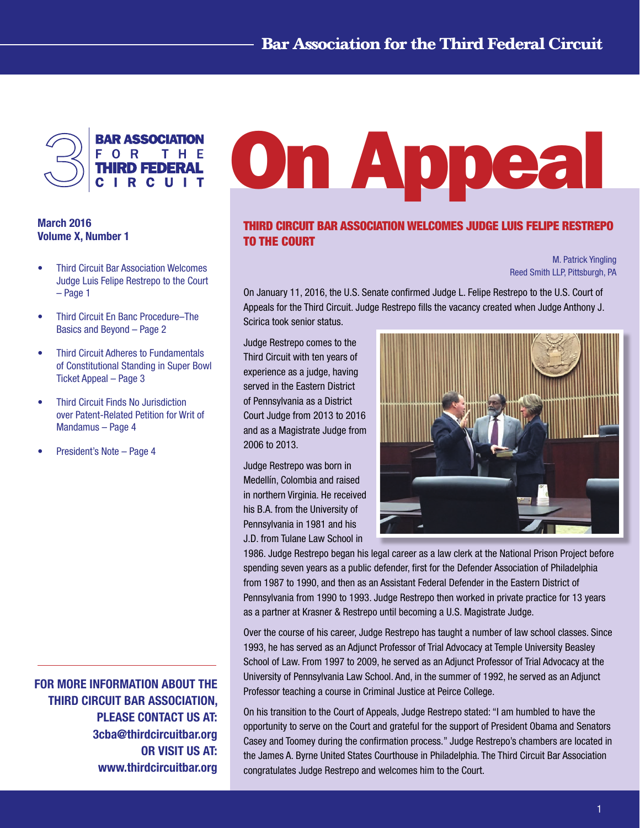

# March 2016 Volume X, Number 1

- **Third Circuit Bar Association Welcomes** Judge Luis Felipe Restrepo to the Court – Page 1
- Third Circuit En Banc Procedure–The Basics and Beyond – Page 2
- **Third Circuit Adheres to Fundamentals** of Constitutional Standing in Super Bowl Ticket Appeal – Page 3
- • Third Circuit Finds No Jurisdiction over Patent-Related Petition for Writ of Mandamus – Page 4
- President's Note Page 4

FOR MORE INFORMATION ABOUT THE THIRD CIRCUIT BAR ASSOCIATION, PLEASE CONTACT US AT: 3cba@thirdcircuitbar.org OR VISIT US AT: www.thirdcircuitbar.org

# On Appeal

# THIRD CIRCUIT BAR ASSOCIATION WELCOMES JUDGE LUIS FELIPE RESTREPO TO THE COURT

M. Patrick Yingling Reed Smith LLP, Pittsburgh, PA

On January 11, 2016, the U.S. Senate confirmed Judge L. Felipe Restrepo to the U.S. Court of Appeals for the Third Circuit. Judge Restrepo fills the vacancy created when Judge Anthony J. Scirica took senior status.

Judge Restrepo comes to the Third Circuit with ten years of experience as a judge, having served in the Eastern District of Pennsylvania as a District Court Judge from 2013 to 2016 and as a Magistrate Judge from 2006 to 2013.

Judge Restrepo was born in Medellín, Colombia and raised in northern Virginia. He received his B.A. from the University of Pennsylvania in 1981 and his J.D. from Tulane Law School in



1986. Judge Restrepo began his legal career as a law clerk at the National Prison Project before spending seven years as a public defender, first for the Defender Association of Philadelphia from 1987 to 1990, and then as an Assistant Federal Defender in the Eastern District of Pennsylvania from 1990 to 1993. Judge Restrepo then worked in private practice for 13 years as a partner at Krasner & Restrepo until becoming a U.S. Magistrate Judge.

Over the course of his career, Judge Restrepo has taught a number of law school classes. Since 1993, he has served as an Adjunct Professor of Trial Advocacy at Temple University Beasley School of Law. From 1997 to 2009, he served as an Adjunct Professor of Trial Advocacy at the University of Pennsylvania Law School. And, in the summer of 1992, he served as an Adjunct Professor teaching a course in Criminal Justice at Peirce College.

On his transition to the Court of Appeals, Judge Restrepo stated: "I am humbled to have the opportunity to serve on the Court and grateful for the support of President Obama and Senators Casey and Toomey during the confirmation process." Judge Restrepo's chambers are located in the James A. Byrne United States Courthouse in Philadelphia. The Third Circuit Bar Association congratulates Judge Restrepo and welcomes him to the Court.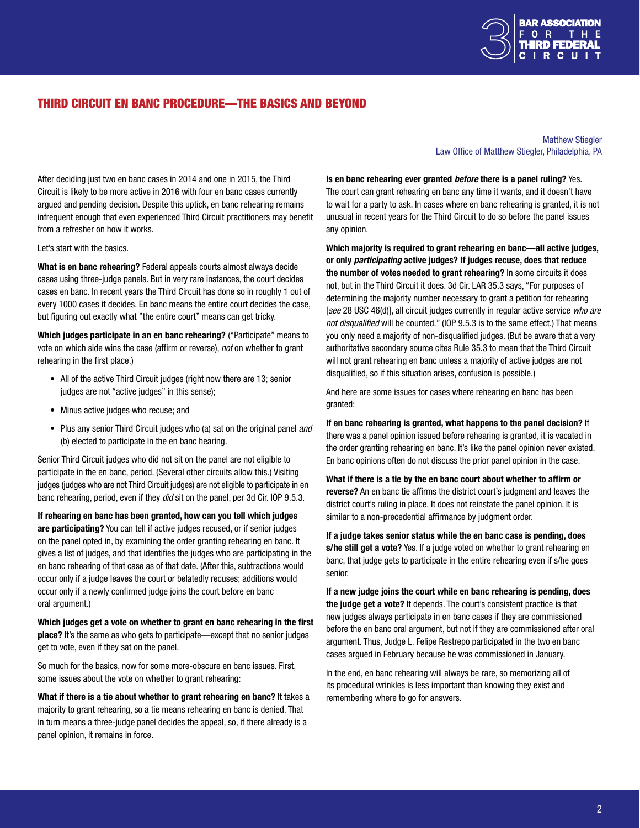

# THIRD CIRCUIT EN BANC PROCEDURE—THE BASICS AND BEYOND

#### After deciding just two en banc cases in 2014 and one in 2015, the Third Circuit is likely to be more active in 2016 with four en banc cases currently argued and pending decision. Despite this uptick, en banc rehearing remains infrequent enough that even experienced Third Circuit practitioners may benefit from a refresher on how it works.

Let's start with the basics.

What is en banc rehearing? Federal appeals courts almost always decide cases using three-judge panels. But in very rare instances, the court decides cases en banc. In recent years the Third Circuit has done so in roughly 1 out of every 1000 cases it decides. En banc means the entire court decides the case, but figuring out exactly what "the entire court" means can get tricky.

Which judges participate in an en banc rehearing? ("Participate" means to vote on which side wins the case (affirm or reverse), *not* on whether to grant rehearing in the first place.)

- All of the active Third Circuit judges (right now there are 13; senior judges are not "active judges" in this sense);
- Minus active judges who recuse; and
- Plus any senior Third Circuit judges who (a) sat on the original panel *and*  (b) elected to participate in the en banc hearing.

Senior Third Circuit judges who did not sit on the panel are not eligible to participate in the en banc, period. (Several other circuits allow this.) Visiting judges (judges who are not Third Circuit judges) are not eligible to participate in en banc rehearing, period, even if they *did* sit on the panel, per 3d Cir. IOP 9.5.3.

If rehearing en banc has been granted, how can you tell which judges are participating? You can tell if active judges recused, or if senior judges on the panel opted in, by examining the order granting rehearing en banc. It gives a list of judges, and that identifies the judges who are participating in the en banc rehearing of that case as of that date. (After this, subtractions would occur only if a judge leaves the court or belatedly recuses; additions would occur only if a newly confirmed judge joins the court before en banc oral argument.)

Which judges get a vote on whether to grant en banc rehearing in the first place? It's the same as who gets to participate—except that no senior judges get to vote, even if they sat on the panel.

So much for the basics, now for some more-obscure en banc issues. First, some issues about the vote on whether to grant rehearing:

What if there is a tie about whether to grant rehearing en banc? It takes a majority to grant rehearing, so a tie means rehearing en banc is denied. That in turn means a three-judge panel decides the appeal, so, if there already is a panel opinion, it remains in force.

#### Matthew Stiegler Law Office of Matthew Stiegler, Philadelphia, PA

Is en banc rehearing ever granted *before* there is a panel ruling? Yes. The court can grant rehearing en banc any time it wants, and it doesn't have to wait for a party to ask. In cases where en banc rehearing is granted, it is not unusual in recent years for the Third Circuit to do so before the panel issues any opinion.

Which majority is required to grant rehearing en banc—all active judges, or only *participating* active judges? If judges recuse, does that reduce the number of votes needed to grant rehearing? In some circuits it does not, but in the Third Circuit it does. 3d Cir. LAR 35.3 says, "For purposes of determining the majority number necessary to grant a petition for rehearing [*see* 28 USC 46(d)], all circuit judges currently in regular active service *who are not disqualified* will be counted." (IOP 9.5.3 is to the same effect.) That means you only need a majority of non-disqualified judges. (But be aware that a very authoritative secondary source cites Rule 35.3 to mean that the Third Circuit will not grant rehearing en banc unless a majority of active judges are not disqualified, so if this situation arises, confusion is possible.)

And here are some issues for cases where rehearing en banc has been granted:

If en banc rehearing is granted, what happens to the panel decision? If there was a panel opinion issued before rehearing is granted, it is vacated in the order granting rehearing en banc. It's like the panel opinion never existed. En banc opinions often do not discuss the prior panel opinion in the case.

What if there is a tie by the en banc court about whether to affirm or reverse? An en banc tie affirms the district court's judgment and leaves the district court's ruling in place. It does not reinstate the panel opinion. It is similar to a non-precedential affirmance by judgment order.

If a judge takes senior status while the en banc case is pending, does s/he still get a vote? Yes. If a judge voted on whether to grant rehearing en banc, that judge gets to participate in the entire rehearing even if s/he goes senior.

If a new judge joins the court while en banc rehearing is pending, does the judge get a vote? It depends. The court's consistent practice is that new judges always participate in en banc cases if they are commissioned before the en banc oral argument, but not if they are commissioned after oral argument. Thus, Judge L. Felipe Restrepo participated in the two en banc cases argued in February because he was commissioned in January.

In the end, en banc rehearing will always be rare, so memorizing all of its procedural wrinkles is less important than knowing they exist and remembering where to go for answers.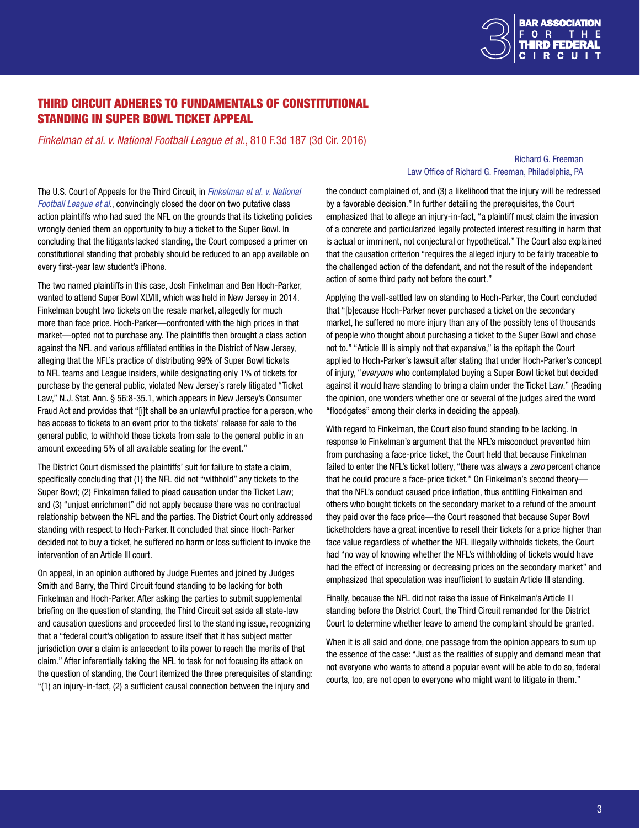

# THIRD CIRCUIT ADHERES TO FUNDAMENTALS OF CONSTITUTIONAL STANDING IN SUPER BOWL TICKET APPEAL

*Finkelman et al. v. National Football League et al.*, 810 F.3d 187 (3d Cir. 2016)

#### Richard G. Freeman Law Office of Richard G. Freeman, Philadelphia, PA

The U.S. Court of Appeals for the Third Circuit, in *[Finkelman et al. v. National](http://www2.ca3.uscourts.gov/opinarch/151435p.pdf)  [Football League et al](http://www2.ca3.uscourts.gov/opinarch/151435p.pdf).*, convincingly closed the door on two putative class action plaintiffs who had sued the NFL on the grounds that its ticketing policies wrongly denied them an opportunity to buy a ticket to the Super Bowl. In concluding that the litigants lacked standing, the Court composed a primer on constitutional standing that probably should be reduced to an app available on every first-year law student's iPhone.

The two named plaintiffs in this case, Josh Finkelman and Ben Hoch-Parker, wanted to attend Super Bowl XLVIII, which was held in New Jersey in 2014. Finkelman bought two tickets on the resale market, allegedly for much more than face price. Hoch-Parker—confronted with the high prices in that market—opted not to purchase any. The plaintiffs then brought a class action against the NFL and various affiliated entities in the District of New Jersey, alleging that the NFL's practice of distributing 99% of Super Bowl tickets to NFL teams and League insiders, while designating only 1% of tickets for purchase by the general public, violated New Jersey's rarely litigated "Ticket Law," N.J. Stat. Ann. § 56:8-35.1, which appears in New Jersey's Consumer Fraud Act and provides that "[i]t shall be an unlawful practice for a person, who has access to tickets to an event prior to the tickets' release for sale to the general public, to withhold those tickets from sale to the general public in an amount exceeding 5% of all available seating for the event."

The District Court dismissed the plaintiffs' suit for failure to state a claim, specifically concluding that (1) the NFL did not "withhold" any tickets to the Super Bowl; (2) Finkelman failed to plead causation under the Ticket Law; and (3) "unjust enrichment" did not apply because there was no contractual relationship between the NFL and the parties. The District Court only addressed standing with respect to Hoch-Parker. It concluded that since Hoch-Parker decided not to buy a ticket, he suffered no harm or loss sufficient to invoke the intervention of an Article III court.

On appeal, in an opinion authored by Judge Fuentes and joined by Judges Smith and Barry, the Third Circuit found standing to be lacking for both Finkelman and Hoch-Parker. After asking the parties to submit supplemental briefing on the question of standing, the Third Circuit set aside all state-law and causation questions and proceeded first to the standing issue, recognizing that a "federal court's obligation to assure itself that it has subject matter jurisdiction over a claim is antecedent to its power to reach the merits of that claim." After inferentially taking the NFL to task for not focusing its attack on the question of standing, the Court itemized the three prerequisites of standing: "(1) an injury-in-fact, (2) a sufficient causal connection between the injury and

the conduct complained of, and (3) a likelihood that the injury will be redressed by a favorable decision." In further detailing the prerequisites, the Court emphasized that to allege an injury-in-fact, "a plaintiff must claim the invasion of a concrete and particularized legally protected interest resulting in harm that is actual or imminent, not conjectural or hypothetical." The Court also explained that the causation criterion "requires the alleged injury to be fairly traceable to the challenged action of the defendant, and not the result of the independent action of some third party not before the court."

Applying the well-settled law on standing to Hoch-Parker, the Court concluded that "[b]ecause Hoch-Parker never purchased a ticket on the secondary market, he suffered no more injury than any of the possibly tens of thousands of people who thought about purchasing a ticket to the Super Bowl and chose not to." "Article III is simply not that expansive," is the epitaph the Court applied to Hoch-Parker's lawsuit after stating that under Hoch-Parker's concept of injury, "*everyone* who contemplated buying a Super Bowl ticket but decided against it would have standing to bring a claim under the Ticket Law." (Reading the opinion, one wonders whether one or several of the judges aired the word "floodgates" among their clerks in deciding the appeal).

With regard to Finkelman, the Court also found standing to be lacking. In response to Finkelman's argument that the NFL's misconduct prevented him from purchasing a face-price ticket, the Court held that because Finkelman failed to enter the NFL's ticket lottery, "there was always a *zero* percent chance that he could procure a face-price ticket." On Finkelman's second theory that the NFL's conduct caused price inflation, thus entitling Finkelman and others who bought tickets on the secondary market to a refund of the amount they paid over the face price—the Court reasoned that because Super Bowl ticketholders have a great incentive to resell their tickets for a price higher than face value regardless of whether the NFL illegally withholds tickets, the Court had "no way of knowing whether the NFL's withholding of tickets would have had the effect of increasing or decreasing prices on the secondary market" and emphasized that speculation was insufficient to sustain Article III standing.

Finally, because the NFL did not raise the issue of Finkelman's Article III standing before the District Court, the Third Circuit remanded for the District Court to determine whether leave to amend the complaint should be granted.

When it is all said and done, one passage from the opinion appears to sum up the essence of the case: "Just as the realities of supply and demand mean that not everyone who wants to attend a popular event will be able to do so, federal courts, too, are not open to everyone who might want to litigate in them."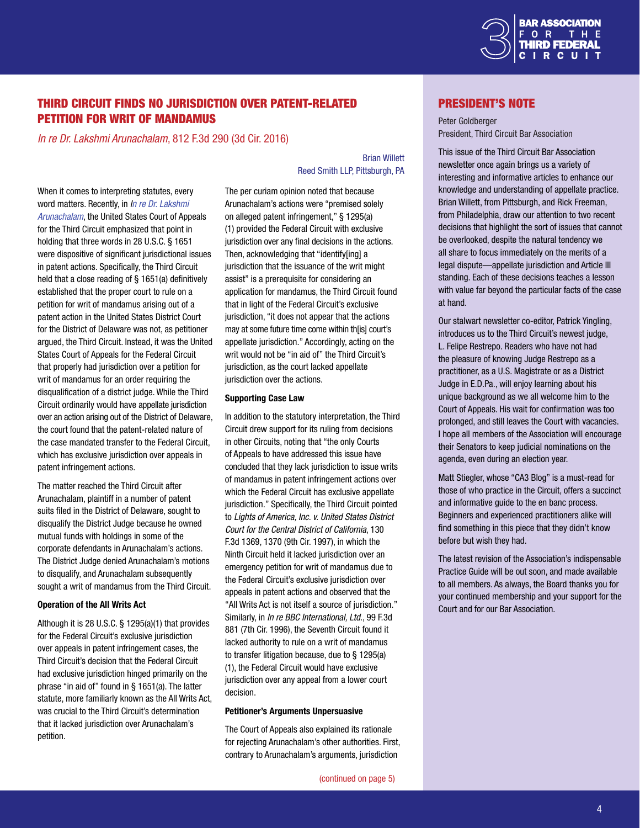

# THIRD CIRCUIT FINDS NO JURISDICTION OVER PATENT-RELATED PETITION FOR WRIT OF MANDAMUS

*In re Dr. Lakshmi Arunachalam*, 812 F.3d 290 (3d Cir. 2016)

When it comes to interpreting statutes, every word matters. Recently, in *[In re Dr. Lakshmi](http://www2.ca3.uscourts.gov/opinarch/153569p.pdf)  [Arunachalam](http://www2.ca3.uscourts.gov/opinarch/153569p.pdf)*, the United States Court of Appeals for the Third Circuit emphasized that point in holding that three words in 28 U.S.C. § 1651 were dispositive of significant jurisdictional issues in patent actions. Specifically, the Third Circuit held that a close reading of § 1651(a) definitively established that the proper court to rule on a petition for writ of mandamus arising out of a patent action in the United States District Court for the District of Delaware was not, as petitioner argued, the Third Circuit. Instead, it was the United States Court of Appeals for the Federal Circuit that properly had jurisdiction over a petition for writ of mandamus for an order requiring the disqualification of a district judge. While the Third Circuit ordinarily would have appellate jurisdiction over an action arising out of the District of Delaware, the court found that the patent-related nature of the case mandated transfer to the Federal Circuit, which has exclusive jurisdiction over appeals in patent infringement actions.

The matter reached the Third Circuit after Arunachalam, plaintiff in a number of patent suits filed in the District of Delaware, sought to disqualify the District Judge because he owned mutual funds with holdings in some of the corporate defendants in Arunachalam's actions. The District Judge denied Arunachalam's motions to disqualify, and Arunachalam subsequently sought a writ of mandamus from the Third Circuit.

#### Operation of the All Writs Act

Although it is 28 U.S.C. § 1295(a)(1) that provides for the Federal Circuit's exclusive jurisdiction over appeals in patent infringement cases, the Third Circuit's decision that the Federal Circuit had exclusive jurisdiction hinged primarily on the phrase "in aid of" found in § 1651(a). The latter statute, more familiarly known as the All Writs Act, was crucial to the Third Circuit's determination that it lacked jurisdiction over Arunachalam's petition.

#### Brian Willett Reed Smith LLP, Pittsburgh, PA

The per curiam opinion noted that because Arunachalam's actions were "premised solely on alleged patent infringement," § 1295(a) (1) provided the Federal Circuit with exclusive jurisdiction over any final decisions in the actions. Then, acknowledging that "identify[ing] a jurisdiction that the issuance of the writ might assist" is a prerequisite for considering an application for mandamus, the Third Circuit found that in light of the Federal Circuit's exclusive jurisdiction, "it does not appear that the actions may at some future time come within th[is] court's appellate jurisdiction." Accordingly, acting on the writ would not be "in aid of" the Third Circuit's jurisdiction, as the court lacked appellate jurisdiction over the actions.

#### Supporting Case Law

In addition to the statutory interpretation, the Third Circuit drew support for its ruling from decisions in other Circuits, noting that "the only Courts of Appeals to have addressed this issue have concluded that they lack jurisdiction to issue writs of mandamus in patent infringement actions over which the Federal Circuit has exclusive appellate jurisdiction." Specifically, the Third Circuit pointed to *Lights of America, Inc. v. United States District Court for the Central District of California*, 130 F.3d 1369, 1370 (9th Cir. 1997), in which the Ninth Circuit held it lacked jurisdiction over an emergency petition for writ of mandamus due to the Federal Circuit's exclusive jurisdiction over appeals in patent actions and observed that the "All Writs Act is not itself a source of jurisdiction." Similarly, in *In re BBC International, Ltd.*, 99 F.3d 881 (7th Cir. 1996), the Seventh Circuit found it lacked authority to rule on a writ of mandamus to transfer litigation because, due to § 1295(a) (1), the Federal Circuit would have exclusive jurisdiction over any appeal from a lower court decision.

#### Petitioner's Arguments Unpersuasive

The Court of Appeals also explained its rationale for rejecting Arunachalam's other authorities. First, contrary to Arunachalam's arguments, jurisdiction

#### President's Note

Peter Goldberger President, Third Circuit Bar Association

This issue of the Third Circuit Bar Association newsletter once again brings us a variety of interesting and informative articles to enhance our knowledge and understanding of appellate practice. Brian Willett, from Pittsburgh, and Rick Freeman, from Philadelphia, draw our attention to two recent decisions that highlight the sort of issues that cannot be overlooked, despite the natural tendency we all share to focus immediately on the merits of a legal dispute—appellate jurisdiction and Article III standing. Each of these decisions teaches a lesson with value far beyond the particular facts of the case at hand.

Our stalwart newsletter co-editor, Patrick Yingling, introduces us to the Third Circuit's newest judge, L. Felipe Restrepo. Readers who have not had the pleasure of knowing Judge Restrepo as a practitioner, as a U.S. Magistrate or as a District Judge in E.D.Pa., will enjoy learning about his unique background as we all welcome him to the Court of Appeals. His wait for confirmation was too prolonged, and still leaves the Court with vacancies. I hope all members of the Association will encourage their Senators to keep judicial nominations on the agenda, even during an election year.

Matt Stiegler, whose "CA3 Blog" is a must-read for those of who practice in the Circuit, offers a succinct and informative guide to the en banc process. Beginners and experienced practitioners alike will find something in this piece that they didn't know before but wish they had.

The latest revision of the Association's indispensable Practice Guide will be out soon, and made available to all members. As always, the Board thanks you for your continued membership and your support for the Court and for our Bar Association.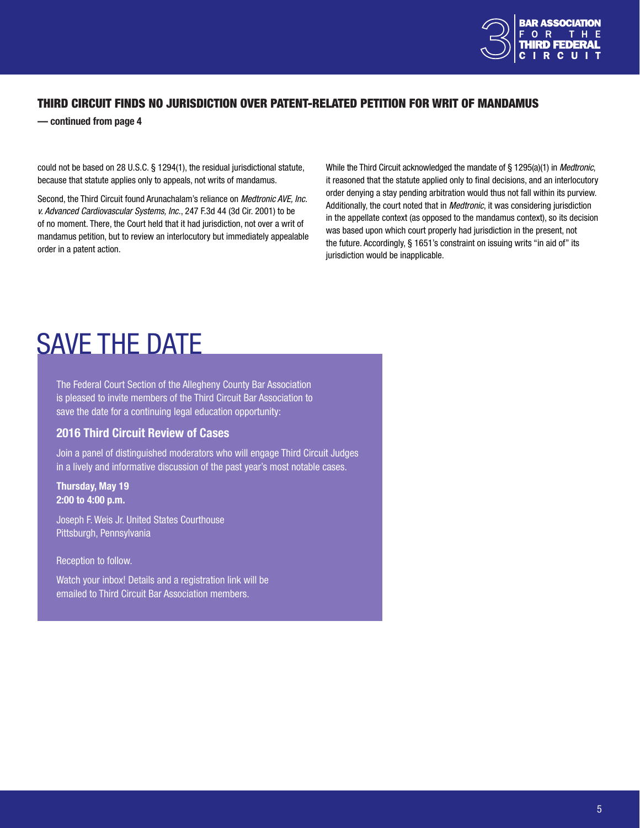

# <span id="page-4-0"></span>THIRD CIRCUIT FINDS NO JURISDICTION OVER PATENT-RELATED PETITION FOR WRIT OF MANDAMUS

— continued from page 4

could not be based on 28 U.S.C. § 1294(1), the residual jurisdictional statute, because that statute applies only to appeals, not writs of mandamus.

Second, the Third Circuit found Arunachalam's reliance on *Medtronic AVE, Inc. v. Advanced Cardiovascular Systems, Inc.*, 247 F.3d 44 (3d Cir. 2001) to be of no moment. There, the Court held that it had jurisdiction, not over a writ of mandamus petition, but to review an interlocutory but immediately appealable order in a patent action.

While the Third Circuit acknowledged the mandate of § 1295(a)(1) in *Medtronic*, it reasoned that the statute applied only to final decisions, and an interlocutory order denying a stay pending arbitration would thus not fall within its purview. Additionally, the court noted that in *Medtronic*, it was considering jurisdiction in the appellate context (as opposed to the mandamus context), so its decision was based upon which court properly had jurisdiction in the present, not the future. Accordingly, § 1651's constraint on issuing writs "in aid of" its jurisdiction would be inapplicable.

# SAVE THE DATE

The Federal Court Section of the Allegheny County Bar Association is pleased to invite members of the Third Circuit Bar Association to save the date for a continuing legal education opportunity:

# 2016 Third Circuit Review of Cases

Join a panel of distinguished moderators who will engage Third Circuit Judges in a lively and informative discussion of the past year's most notable cases.

#### Thursday, May 19 2:00 to 4:00 p.m.

Joseph F. Weis Jr. United States Courthouse Pittsburgh, Pennsylvania

Reception to follow.

Watch your inbox! Details and a registration link will be emailed to Third Circuit Bar Association members.